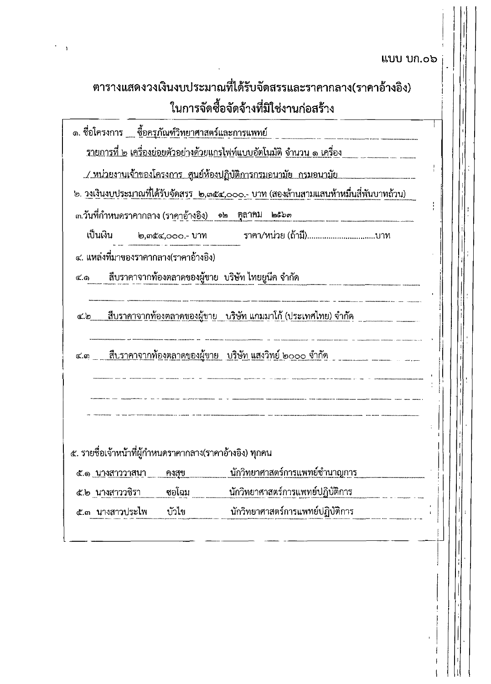แบบ บก.๐๖

ł.

J  $\overline{\mathfrak{f}}$ 

₩ ľ

|                 | ตารางแสดงวงเงินงบประมาณที่ได้รับจัดสรรและราคากลาง(ราคาอ้างอิง)                               |
|-----------------|----------------------------------------------------------------------------------------------|
|                 | ในการจัดซื้อจัดจ้างที่มิใช่งานก่อสร้าง                                                       |
|                 | ึ๑. ชื่อโครงการ ___ ซื <u>้อครุภัณฑ์วิทยาศาสตร์และการแพทย์</u>                               |
|                 | <u>รายการที่ ๒ เครื่องย่อยตัวอย่างด้วยแกรไฟท์แบบอัตโนมัติ จำนวน ๑ เครื่อง</u>                |
|                 | <u> / หน่วยงานเจ้าของโครงการ ศูนย์ห้องปฏิบัติการกรมอนามัย กรมอนามัย </u>                     |
|                 | <u>๒. วงเงินงบประมาณที่ได้รับจัดสรร ๒,๓๕๔,๐๐๐.- บาท (สองล้านสามแสนห้าหมื่นสี่พันบาทถ้วน)</u> |
|                 | ๓.วันที่กำหนดราคากลาง (ราคาอ้า <u>งอิง) ๑๒ ตุลาคม ๒๕๖๓</u>                                   |
| เป็นเงิน        | ราคา/หน่วย (ถ้ามี)บาท<br>๒,๓๕๔,๐๐๐.- <b>บาท</b>                                              |
|                 | ๔. แหล่งที่มาของราคากลาง(ราคาอ้างอิง)                                                        |
|                 | ๔.๑       สืบราคาจากท้องตลาดของผู้ขาย  บริษัท ไทยยูนีค จำกัด                                 |
|                 |                                                                                              |
| ๔.๒             | <u> สืบราคาจากท้องตลาดของผู้ขาย    บริษัท แกม</u> มาโก้ (ประเทศไทย) จำกัด                    |
|                 |                                                                                              |
|                 | <u>๔.๓ สืบราคาจากท้องตลาดของผู้ขาย บริษัท แสงวิทย์ ๒๐๐๐ จำกัด </u>                           |
|                 |                                                                                              |
|                 |                                                                                              |
|                 |                                                                                              |
|                 | ๕. รายชื่อเจ้าหน้าที่ผู้กำหนดราคากลาง(ราคาอ้างอิง) ทุกคน                                     |
| ๕.๑ นางสาววาสนา | <u>นักวิทยาศาสตร์การแพทย์ชำนาญ</u> การ<br>คงสุข                                              |
| ๕.๒ นางสาววชิรา | นักวิทยาศาสตร์การแพทย์ปฏิบัติการ<br>ชอโฉม                                                    |
|                 | นักวิทยาศาสตร์การแพทย์ปฏิบัติการ<br>บัวไข<br>๕.๓ นางสาวประไพ                                 |

 $\ddot{\phantom{0}}$  $\bar{1}$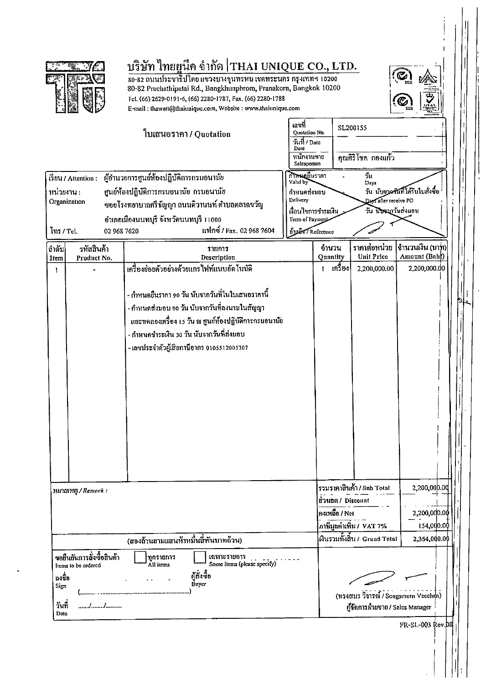

# บริษัท ไทยยูนี้ค จำกัด THAI UNIQUE CO., LTD.

80-82 ถนนประชาธิปไตย แขวงบางขุนทรหม เขตพระนคร กรุงเทพฯ 10200 80-82 Prachathipatai Rd., Bangkhunphrom, Pranakorn, Bangkok 10200 Tel. (66) 2629-0191-6, (66) 2280-1787, Fax. (66) 2280-1788 E-mail: thawatt@thaiunique.com, Website: www.thaiunique.com



FR-SL-003 Rev. 08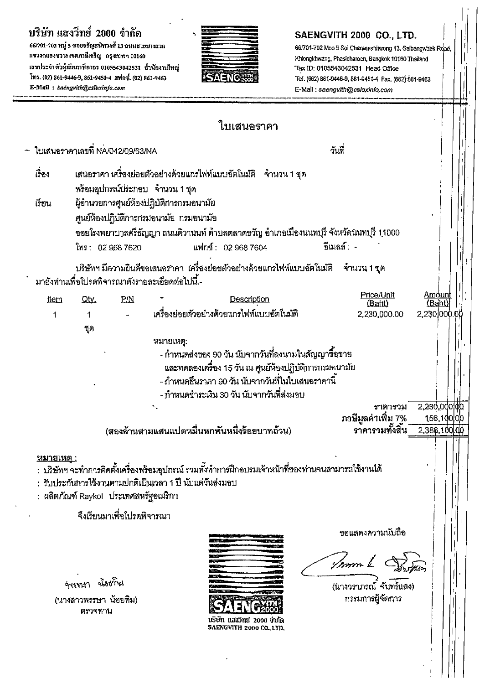## บริษัท แสงวิทย์ 2000 จำกัด

.<br>66/701-702 หมู่ 5 ขอยจรัญสนิทวงศ์ 13 ฉนนธายบางแวก แขวงกลองชวาง เขตภาษีเจริญ -กรุงเทพฯ 10160 เฉขประจำตัวผู้เลียภาษีอากร 0105543042531 สำนักงานไหญ่ โทร. (02) 861-9446-9, 861-9451-4 แฟกซ์. (02) 861-9463 E-Mail: saengvith@csloxinfo.com



## SAENGVITH 2000 CO., LTD.

66/701-702 Moo 5 Sol Charansanitwong 13, Saibangwaek Road, Khlongkhwang, Phasicharoen, Bangkok 10160 Thailand Tax ID: 0105543042531 Head Office Tel. (662) 861-9446-9, 861-9451-4 Fax. (662) 861-9463 E-Mail: saengvith@csloxinfo.com

|                  |                                                        |     | ใบเสนอราคา                                                                                                                                                                                                                                                                                 |                                                  |                                                  |
|------------------|--------------------------------------------------------|-----|--------------------------------------------------------------------------------------------------------------------------------------------------------------------------------------------------------------------------------------------------------------------------------------------|--------------------------------------------------|--------------------------------------------------|
|                  | - <b>โ</b> บเสนอราคาเลขที่ NA/042/09/63/NA             |     |                                                                                                                                                                                                                                                                                            | วันที่                                           |                                                  |
| เรื่อง<br>เรียน  | พร้อมอุปกรณ์ประกอบ จำนวน 1 ชุด<br>โทร: 02 968 7620     |     | เสนอราคา เครื่องย่อยตัวอย่างด้วยแกรไฟท์แบบอัตโนมัติ    จำนวน 1 ชุด<br>ผู้อำนวยการศูนย์ห้องปฏิบัติการกรมอนามัย<br>ศูนย์ห้องปฏิบัติการกรมอนามัย กรมอนามัย<br>ซอยโรงพยาบาลศ์รีธัญญา ถนนติวานนท์ ตำบลตลาดขวัญ อำเภอเมืองนนทบุรี จังหวัดนนทบุรี 11000<br>แฟกข์: 02 968 7604                     | ้อีเมลล์ : -                                     |                                                  |
|                  | มายังท่านเพื่อโปรดพิจารณาดังรายละเอียดต่อไปนี้ -       |     | บริษัทฯ มีความยินดีขอเสนอราคา  เครื่องย่อยตัวอย่างด้วยแกรไฟท์แบบอัตโนมัติ                                                                                                                                                                                                                  | ำำนวน 1 ชุด                                      |                                                  |
| <b>jtem</b><br>1 | Qty.<br>1<br>จุด                                       | P/N | Description<br>เครื่องย่อยตัวอย่างด้วยแกรไฟท์แบบอัตโนมัติ<br>หมายเหตุ:<br>- กำหนดส่งของ 90 วัน นับจากวันที่ลงนามในสัญญาซื้อขาย<br>และทดลองเครื่อง 15 วัน ณ ศูนย์ห้องปฏิบัติการกรมอนามัย<br>- กำหนดยื่นราคา 90 วัน นับจากวันที่ในใบเสนอราคานี้<br>- กำหนดชำระเงิน 30 วัน นับจากวันที่ส่งมอบ | Price/Unit<br>(Baht)<br>2,230,000.00             | <u>Amount</u><br>(Baht<br>2,230,000.00           |
|                  |                                                        |     | (สองล้านสามแสนแปดหมื่นหกพันหนึ่งร้อยบาทถ้วน)                                                                                                                                                                                                                                               | ราคารวม<br>ภาษีมูลค่าเพิ่ม 7%<br>ราคารวมทั้งสิ้น | $2,230,000$ $\phi$<br>156.100.00<br>2,386,100 00 |
| หมายเหต          | : ผลิตภัณฑ์ Raykol ประเทศสหรัฐอเมริกา                  |     | :  บริษัทฯ จะทำการติดตั้งเครื่องพร้อมอุปกรณ์ รวมทั้งทำการฝึกอบรมเจ้าหน้าที่ของท่านจนสามารถใช้งานได้<br>: รับประกันการใช้งานตามปกติเป็นเวลา 1 ปี นับแต่วันส่งมอบ                                                                                                                            |                                                  |                                                  |
|                  | จึงเรียนมาเพื่อโปรดพิจารณา                             |     |                                                                                                                                                                                                                                                                                            | ขอแสดงความนับถือ<br>/mm L                        |                                                  |
|                  | จังจานา น้องที่อุเ<br>(นางสาวพรรษา น้อยทิม)<br>ตรวจทาน |     | USUN นิสินวิทย์ 2000 จำกัด<br>SAENGVITH 2000 CO., LTD.                                                                                                                                                                                                                                     | (นางวรากรณ์ จันทร์แสง)<br>กรรมการผู้จัดการ       |                                                  |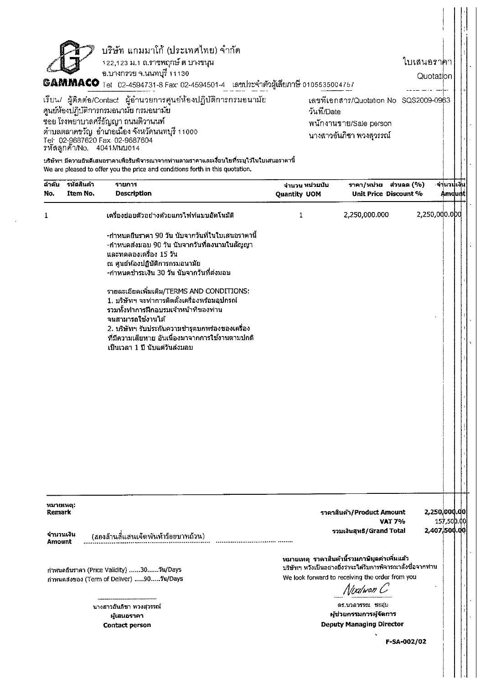|                                  |             | บริษัท แกมมาโก้ (ประเทศไทย) จำกัด                                                                                                                                                                                                                                                               |                |                                                                                                                                                                                |                              |             |  |
|----------------------------------|-------------|-------------------------------------------------------------------------------------------------------------------------------------------------------------------------------------------------------------------------------------------------------------------------------------------------|----------------|--------------------------------------------------------------------------------------------------------------------------------------------------------------------------------|------------------------------|-------------|--|
|                                  |             | 122,123 ม.1 ถ.ราชพฤกษ์ ต บางขนุน                                                                                                                                                                                                                                                                |                |                                                                                                                                                                                | ใบเสนอราคา                   |             |  |
|                                  |             | อ.บางกรวย จ.นนทบุรี 11130<br>6AMMACO Tel 02-4594731-8 Fax: 02-4594501-4 เลขประจำตัวผู้เสียภาษี 0105535004757                                                                                                                                                                                    |                |                                                                                                                                                                                | Quotation                    |             |  |
|                                  |             |                                                                                                                                                                                                                                                                                                 |                |                                                                                                                                                                                |                              |             |  |
|                                  |             | เรียน/ ผู้ติดต่อ/Contact ผู้อำนวยการศูนย์ห้องปฏิบัติการกรมอนามัย<br>ศูนย์ห้องปฏิบัติการกรมอนามัย กรมอนามัย                                                                                                                                                                                      | วันที่/Date    | เลขทีเอกสาร/Quotation No SQS2009-0963                                                                                                                                          |                              |             |  |
|                                  |             | ซอย โรงพยาบาลศรีธัญญา ถนนติวานนท์                                                                                                                                                                                                                                                               |                | พนักงานขาย/Sale person                                                                                                                                                         |                              |             |  |
|                                  |             | ้ตำบลตลาดขวัญ  อำเภอเมือง จังหวัดนนทบุรี 11000                                                                                                                                                                                                                                                  |                | ้นางสาวอันภิชา พวงสุวรรณ์                                                                                                                                                      |                              |             |  |
|                                  |             | Tel: 02-9687620 Fax. 02-9687604<br>รหัสลูกค้า/No. 4041Mนบ014                                                                                                                                                                                                                                    |                |                                                                                                                                                                                |                              |             |  |
|                                  |             | บริษัทฯ มีความยินดีเสนอราคาเพื่อรับพิจารณาจากท่านตามราคาและเงื่อนไขที่ระบุไว้ในใบเสนอราคานี้<br>We are pleased to offer you the price and conditions forth in this quotation.                                                                                                                   |                |                                                                                                                                                                                |                              |             |  |
| ล้าคับ                           | ้รหัสสินค้า | รายการ                                                                                                                                                                                                                                                                                          | จำนวน หน่วยนับ | ราคา/หน่วย ส่วนลด(%)                                                                                                                                                           |                              | ∙จำ่นวนเงิน |  |
| No.                              | Item No.    | Description                                                                                                                                                                                                                                                                                     | Quantity UOM   | Unit Price Discount %                                                                                                                                                          |                              | Amdunt!     |  |
| 1                                |             | เครื่องย่อยด้วอย่างด้วยแกรไฟท์แบบอัตโนมัติ                                                                                                                                                                                                                                                      | 1              | 2,250,000.000                                                                                                                                                                  | 2,250,000.000                |             |  |
|                                  |             | -กำหนดยืนราคา 90 วัน นับจากวันที่ในใบเสนอราคานี้                                                                                                                                                                                                                                                |                |                                                                                                                                                                                |                              |             |  |
|                                  |             | -กำหนดส่งมอบ 90 วัน นับจากวันที่ลงนามในสัญญา<br>และทดลองเครื่อง 15 วัน                                                                                                                                                                                                                          |                |                                                                                                                                                                                |                              |             |  |
|                                  |             | ณ ศูนย์ห้องปฏิบัติการกรมอนามัย                                                                                                                                                                                                                                                                  |                |                                                                                                                                                                                |                              |             |  |
|                                  |             | -กำหนดชำระเงิน 30 วัน นับจากวันที่ส่งมอบ                                                                                                                                                                                                                                                        |                |                                                                                                                                                                                |                              |             |  |
|                                  |             | รายละเอียดเพิ่มเติม/TERMS AND CONDITIONS:<br>1. บริษัทฯ จะทำการดิดตั้งเครื่องพร้อมอุปกรณ์<br>รวมทั้งทำการฝึกอบรมเจ้าหน้าที่ของท่าน<br>จนสามารถใช้งานได้<br>.2. บริษัทฯ รับประกันความชำรุดบกพร่องของเครื่อง<br>่ที่มีความเสียหาย อันเนื่องมาจากการใช้งานตามปกติ<br>เป็นเวลา 1 ปี นับแต่วันส่งมอบ |                |                                                                                                                                                                                |                              |             |  |
|                                  |             |                                                                                                                                                                                                                                                                                                 |                |                                                                                                                                                                                |                              |             |  |
| หมายเหตุ:<br>Remark<br>จำนวนเงิน |             | (สองล้านสี่แสนเจ็ดพันห้าร้อยบาทถ้วน)                                                                                                                                                                                                                                                            |                | ราคาสินค้า/Product Amount<br><b>VAT 7%</b><br>รวมเงินสุทธิ/Grand Total                                                                                                         | 2,250,000.00<br>2,407,500.00 | 157,500.00  |  |
| Amount                           |             |                                                                                                                                                                                                                                                                                                 |                |                                                                                                                                                                                |                              |             |  |
|                                  |             | กำหนดยืนราคา (Price Validity) 30วัน/Days<br>กำหนดส่งของ (Term of Deliver) 90วัน/Days                                                                                                                                                                                                            |                | หมายเหตุ ราคาสินค้านี้รวมภาษีมูลค่าเพิ่มแล้ว<br>บริษัทฯ หวังเป็นอย่างยิ่งว่าจะได้รับการพิจารณาสั่งซื้อจากท่าน<br>We look forward to receiving the order from you<br>Nixilwon C |                              |             |  |

นางสาวอันภิชา พวงสุวรรณ์ ผู้เสนอราคา **Contact person** 

F-SA-002/02

 $\overline{a}$ 

ดร.นวลวรรณ ชะอุ่ม

ผู้ช่วยกรรมการผู้จัดการ

**Deputy Managing Director**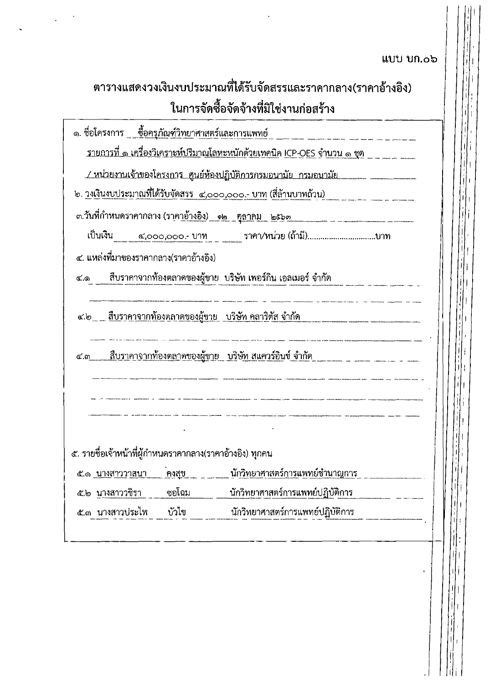## ແບບ ບກ.໐ວ

|                                                              |       | ตารางแสดงวงเงินงบประมาณที่ได้รับจัดสรรและราคากลาง(ราคาอ้างอิง)                            |
|--------------------------------------------------------------|-------|-------------------------------------------------------------------------------------------|
|                                                              |       | ในการจัดซื้อจัดจ้างที่มิใช่งานก่อสร้าง                                                    |
| ๑. ชื่อโครงการ __ <u>ชื่อครุภัณฑ์วิทยา</u> ศาสตร์และการแพทย์ |       |                                                                                           |
|                                                              |       | <u>รายการที่ ๑ เครื่องวิเคราะห์ปริมาณโลหะหนักด้วยเทคนิค ICP-OES จำนวน ๑ ชุด _ _ _ _ _</u> |
|                                                              |       |                                                                                           |
|                                                              |       | <u>๒. วงเงินงบประมาณที่ได้รับจัดสรร  ๔,๐๐๐,๐๐๐.- บาท (สีล้านบาทถ้วน) </u>                 |
|                                                              |       |                                                                                           |
|                                                              |       | เป็นเงิน ๔,๐๐๐,๐๐๐.- บาท ราคา/หน่วย (ถ้ามี)บาท                                            |
| ๔. แหล่งที่มาของราคากลาง(ราคาอ้างอิง)                        |       |                                                                                           |
|                                                              |       | ๔.๑       สืบราคาจากท้องตลาดของผู้ขาย  บริษัท เพอร์กิน เอลเมอร์ จำกัด                     |
|                                                              |       | <u>๔.๒  สืบราคาจากท้องตลาดของผู้ขาย   บริษัท คลาริตัส จำกัด </u>                          |
| ๔.๓                                                          |       | <u> สืบราคาจากท้องตลาดของผู้ขาย  บริษัท สแควร์อินซ์ จำกัด</u>                             |
|                                                              |       |                                                                                           |
|                                                              |       |                                                                                           |
| ๕. รายชื่อเจ้าหน้าที่ผู้กำหนดราคากลาง(ราคาอ้างอิง) ทุกคน     |       |                                                                                           |
| <u>๕.๑ นางสาววาสนา</u>                                       | คงสุข | <u>นักวิทยาศาสตร์การแพทย์ชำนาญการ</u>                                                     |
| ๕.๒ นางสาววชิรา                                              | ซอโฉม | นักวิทยาศาสตร์การแพทย์ปฏิบัติการ                                                          |
| ๕.๓ นางสาวบ่ระไพ                                             | บัวไข | นักวิทยาศาสตร์การแพทย์ปฏิบัติการ                                                          |
|                                                              |       |                                                                                           |

 $\ddot{\phantom{a}}$ 

Tili I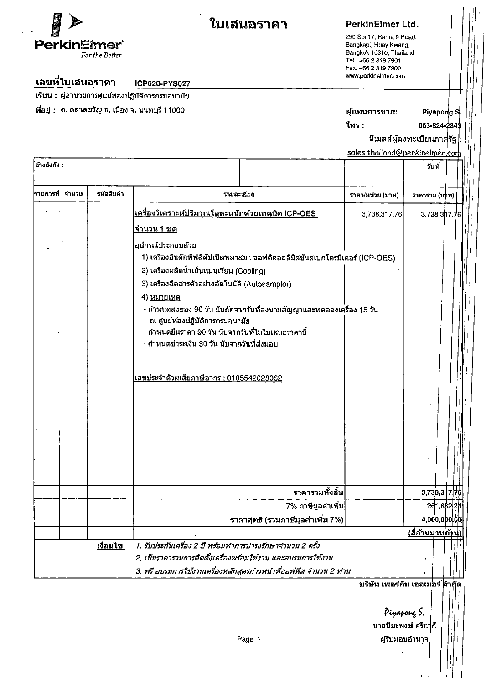

## ใบเสนอราคา

 $\ddot{\phantom{0}}$ 

## PerkinElmer Ltd.

290 Soi 17, Rama 9 Road. Bangkapi, Huay Kwang, Bangkok 10310, Thailand Tel +66 2 319 7901 Fax. +66 2 319 7900 www.perkinelmer.com

#### ี่เลขที่ใบเสนอราคา ICP020-PYS027

้<br>เรียน : ผู้อำนวยการศูนย์ห้องปฏิบัติการกรมอนามัย

ที่อยู่ : ต. ตลาดขวัญ อ. เมือง จ. นนทบุรี 11000

#### ผู้แทนการขาย: Piyapong S

โทร :

063-824-2343

อีเมลล์ผู้ลงทะเบียนภาครัฐ

sales.thailand@perkinelmer.com

 $\ddot{\cdot}$ 

| ื่อ้างอิงถึง : |       |                 |                                                                                                                                                                                                                                                                                     |                                                                       | วันที่                  |          |  |  |
|----------------|-------|-----------------|-------------------------------------------------------------------------------------------------------------------------------------------------------------------------------------------------------------------------------------------------------------------------------------|-----------------------------------------------------------------------|-------------------------|----------|--|--|
| รายการที       | จำนวน | รหัสสินค้า      | รายละเอียด                                                                                                                                                                                                                                                                          | ราคา/หน่วย (บาท)                                                      | ราคารวม (บุ่าท)         |          |  |  |
| 1              |       |                 | <u>เครื่องวิเคราะห์ปริมาณโลหะหนักด้วยเทคนิค ICP-OES_</u>                                                                                                                                                                                                                            | 3,738,317.76                                                          | 3.738.3 7.76            |          |  |  |
|                |       |                 | <u>จำนวน 1 ชุด</u>                                                                                                                                                                                                                                                                  |                                                                       |                         |          |  |  |
|                |       |                 | อุปกรณ์ประกอบด้วย<br>1) เครื่องอินดักทีฟลีคัปเปิลพลาสมา ออฟติคอลอิมิสชันสเปกโตรมิเตอร์ (ICP-OES)                                                                                                                                                                                    |                                                                       |                         |          |  |  |
|                |       |                 | 2) เครื่องผลิตน้ำเย็นหมุนเวียน (Cooling)                                                                                                                                                                                                                                            |                                                                       |                         |          |  |  |
|                |       |                 | 3) เครื่องฉีดสารตัวอย่างอัตโนมัติ (Autosampler)                                                                                                                                                                                                                                     |                                                                       |                         |          |  |  |
|                |       |                 | 4) <u>หมายเหต</u><br>- กำหนดส่งของ 90 วัน นับถัดจากวันที่ลงนามสัญญาและทดลองเครื่อง 15 วัน<br>ณ ศูนย์ห้องปฏิบัติการกรมอนามัย<br>- กำหนดยื่นราคา 90 วัน นับจากวันที่ในใบเสนอราคานี้<br>- กำหนดชำระเงิน 30 วัน นับจากวันที่ส่งมอบ<br><u> เลขประจำตัวผูเสียภาษีอากร : 0105542028062</u> |                                                                       |                         |          |  |  |
|                |       |                 |                                                                                                                                                                                                                                                                                     |                                                                       |                         |          |  |  |
|                |       |                 | ราคารวมทั้งสิ้น                                                                                                                                                                                                                                                                     |                                                                       | 3.738,317               |          |  |  |
|                |       |                 | ่ 7% ภาษีมูลค่าเพิ่ม                                                                                                                                                                                                                                                                |                                                                       |                         | 261,6822 |  |  |
|                |       |                 | ราคาสุทธิ (รวมภาษีมูลค่าเพิ่ม 7%)                                                                                                                                                                                                                                                   |                                                                       | 4,000,000 pp            |          |  |  |
|                |       | <u>เงื่อนไข</u> | 1. รับประกันเครื่อง 2 ปี พร้อมทำการบำรุงรักษาจำนวน 2 ครั้ง<br>2. เป็นราคารวมการติดตั้งเครื่องพร้อมใช้งาน และอบรมการใช้งาน                                                                                                                                                           |                                                                       | <u>(สีล้านปาทด้าป่)</u> |          |  |  |
|                |       |                 | 3. ฟรี อบรมการใช่งานเครื่องหลักสูตรกาวหน้าที่ออฟฟิส จำนวน 2 ท่าน                                                                                                                                                                                                                    |                                                                       |                         |          |  |  |
|                |       |                 | Page 1                                                                                                                                                                                                                                                                              | ็บริษัท เพอร์กิน เอลเม่อร์ สา่<br>Pigapong S.<br>้นายปียะพงษ์ ศรีก∱กี | ผู้รับมอบอำนาจ          |          |  |  |
|                |       |                 |                                                                                                                                                                                                                                                                                     |                                                                       |                         |          |  |  |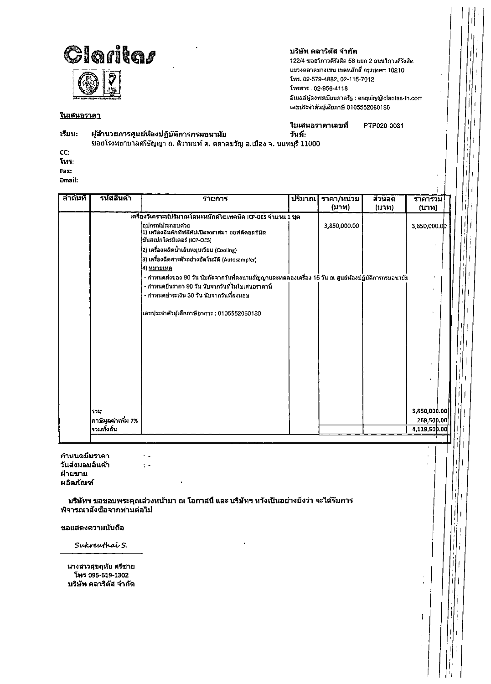

### <u>ในเสนอราคา</u>

### บริษัท คลาริตัส จำกัด

122/4 ซอยวิภาวดีรังสิต 58 แยก 2 ถนนวิภาวดีรังสิต แขวงดลาดบางเขน เขตหลักสี่ กรุงเทพฯ 10210 โทร. 02-579-4882, 02-115-7012 โทรสาร.02-956-4118 อีเมลล์ผู้ลงทะเบียนภาครัฐ : enquiry@claritas-th.com เลขประจำตัวผู้เสียภาษี 0105552060180

#### เรียน: ผู้อำนวยการศูนย์ห้องปฏิบัติการกรมอนามัย

ใบเสนอราคาเลขที PTP020-0031 วันที่:

ชอยโรงพยาบาลศรีธัญญา ถ. ดิวานนท์ ด. ดลาดขวัญ อ.เมือง จ. นนทบุรี 11000

CC: โทร: Fax:

Email:

| ถ่าดับที | ัร <b>หัสสิ</b> นค้า | รายการ                                                                                                      | ปริมาณ | ีราคา/หน่วย<br>(บาท) | ส่วนลด<br>(1111) | ราคารวม<br>(บาท) |
|----------|----------------------|-------------------------------------------------------------------------------------------------------------|--------|----------------------|------------------|------------------|
|          |                      | เครื่องวิเคราะห์ปริมาณโลหะหนักด้วยเทคนิค ICP-OES จำนวน 1 ชุด                                                |        |                      |                  |                  |
|          |                      | ื่อปกรณ์ประกอบด้วย<br>ี่1) เครื่องอื่นดึกที่พลีคับเปิลพลาสมา ออฟตีคอลอี่มีส<br>ขั้นสเปกโครนิเดอร์ (ICP-OES) |        | 3,850,000.00         |                  | 3,850,000.0D     |
|          |                      | 2) เครื่องผลิตน้ำเย็นหมุนเวียน (Cooling)                                                                    |        |                      |                  |                  |
|          |                      | ้3) เครื่องฉีดสารด้วอย่างอัดโนมัติ (Autosampler)<br>4) <u>หมายเหต</u>                                       |        |                      |                  |                  |
|          |                      | - กำหนดส่งของ 90 วัน นับถัดจากวันที่ลงนามสัญญาและทดลองเครื่อง 15 วัน ณ ศูนย์ห้องปฏิบัติการกรมอนามัย         |        |                      |                  |                  |
|          |                      | - กำหนดยืนราคา 90 วัน นับจากวันที่ในใบเสนอราคานี้                                                           |        |                      |                  |                  |
|          |                      | - กำหนดชำระเงิน 30 วัน นับจากวันที่ส่งมอบ                                                                   |        |                      |                  |                  |
|          |                      | เลขประจำตัวผู้เสียภาษีอาการ : 0105552060180                                                                 |        |                      |                  |                  |
|          |                      |                                                                                                             |        |                      |                  |                  |
|          |                      |                                                                                                             |        |                      |                  |                  |
|          |                      |                                                                                                             |        |                      |                  |                  |
|          |                      |                                                                                                             |        |                      |                  |                  |
|          |                      |                                                                                                             |        |                      |                  |                  |
|          | รวม                  |                                                                                                             |        |                      |                  | 3,850,000.00     |
|          | ภาษีมูลค่าเพิ่ม 7%   |                                                                                                             |        |                      |                  | 269,500.00       |
|          | รวมหั้งสิ้น          |                                                                                                             |        |                      |                  | 4,119,500.00     |
|          |                      |                                                                                                             |        |                      |                  |                  |

กำหนดยืนราคา วันส่งมอบสินค้า ฝ่ายขาย ผลิตภัณฑ์

 $\sim$   $\sim$ 

 $\frac{1}{2}$  .

บริษัทฯ ขอขอบพระคุณล่วงหน้ามา ณ โอกาสนี้ และ บริษัทฯ หวังเป็นอย่างยิ่งว่า จะใต้รับการ พิจารณาสังชื่อจากท่านต่อไป

ขอแสดงความนับถือ

Sukreuthai S.

นางสาวสุขฤทัย ศรีชาย โทร 095-619-1302 บริษัท คลาริตัส จำกัด

÷